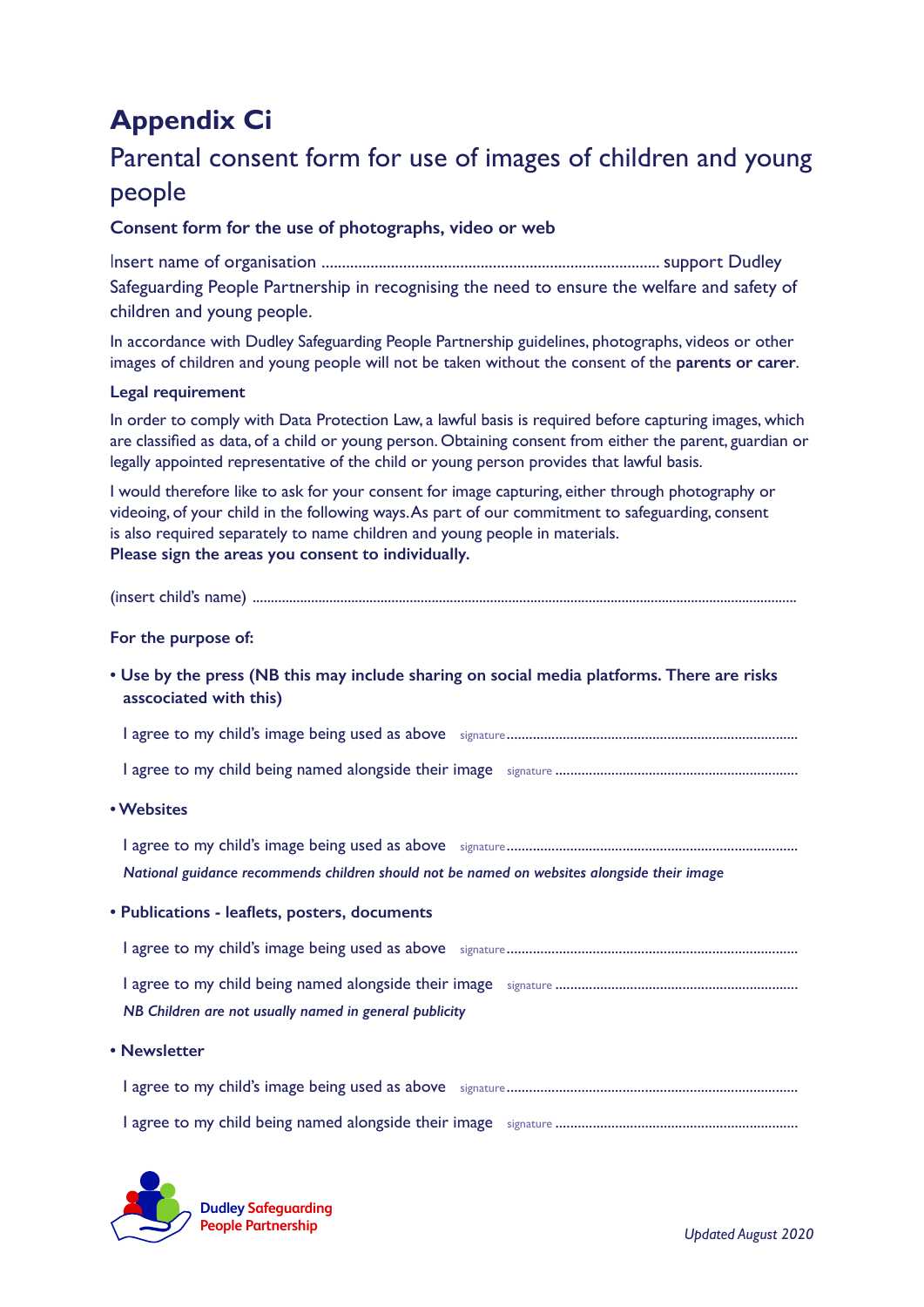# **Appendix Ci**

# Parental consent form for use of images of children and young people

## **Consent form for the use of photographs, video or web**

Insert name of organisation ................................................................................... support Dudley Safeguarding People Partnership in recognising the need to ensure the welfare and safety of children and young people.

In accordance with Dudley Safeguarding People Partnership guidelines, photographs, videos or other images of children and young people will not be taken without the consent of the **parents or carer**.

### **Legal requirement**

In order to comply with Data Protection Law, a lawful basis is required before capturing images, which are classified as data, of a child or young person. Obtaining consent from either the parent, guardian or legally appointed representative of the child or young person provides that lawful basis.

I would therefore like to ask for your consent for image capturing, either through photography or videoing, of your child in the following ways. As part of our commitment to safeguarding, consent is also required separately to name children and young people in materials. **Please sign the areas you consent to individually.**

|--|--|

### **For the purpose of:**

**• Use by the press (NB this may include sharing on social media platforms. There are risks asscociated with this)**

I agree to my child's image being used as above signature..............................................................................

I agree to my child being named alongside their image signature .................................................................

**• Websites**

I agree to my child's image being used as above signature.............................................................................. *National guidance recommends children should not be named on websites alongside their image*

**• Publications - leaflets, posters, documents**

| NB Children are not usually named in general publicity |  |
|--------------------------------------------------------|--|

**• Newsletter**